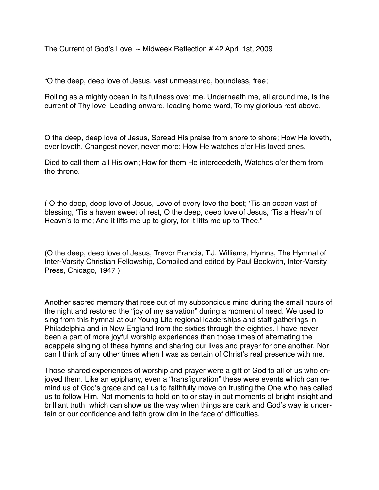The Current of God's Love  $\sim$  Midweek Reflection # 42 April 1st, 2009

"O the deep, deep love of Jesus. vast unmeasured, boundless, free;

Rolling as a mighty ocean in its fullness over me. Underneath me, all around me, Is the current of Thy love; Leading onward. leading home-ward, To my glorious rest above.

O the deep, deep love of Jesus, Spread His praise from shore to shore; How He loveth, ever loveth, Changest never, never more; How He watches o'er His loved ones,

Died to call them all His own; How for them He interceedeth, Watches o'er them from the throne.

( O the deep, deep love of Jesus, Love of every love the best; 'Tis an ocean vast of blessing, 'Tis a haven sweet of rest, O the deep, deep love of Jesus, 'Tis a Heav'n of Heavn's to me; And it lifts me up to glory, for it lifts me up to Thee."

(O the deep, deep love of Jesus, Trevor Francis, T.J. Williams, Hymns, The Hymnal of Inter-Varsity Christian Fellowship, Compiled and edited by Paul Beckwith, Inter-Varsity Press, Chicago, 1947 )

Another sacred memory that rose out of my subconcious mind during the small hours of the night and restored the "joy of my salvation" during a moment of need. We used to sing from this hymnal at our Young Life regional leaderships and staff gatherings in Philadelphia and in New England from the sixties through the eighties. I have never been a part of more joyful worship experiences than those times of alternating the acappela singing of these hymns and sharing our lives and prayer for one another. Nor can I think of any other times when I was as certain of Christ's real presence with me.

Those shared experiences of worship and prayer were a gift of God to all of us who enjoyed them. Like an epiphany, even a "transfiguration" these were events which can remind us of God's grace and call us to faithfully move on trusting the One who has called us to follow Him. Not moments to hold on to or stay in but moments of bright insight and brilliant truth which can show us the way when things are dark and God's way is uncertain or our confidence and faith grow dim in the face of difficulties.